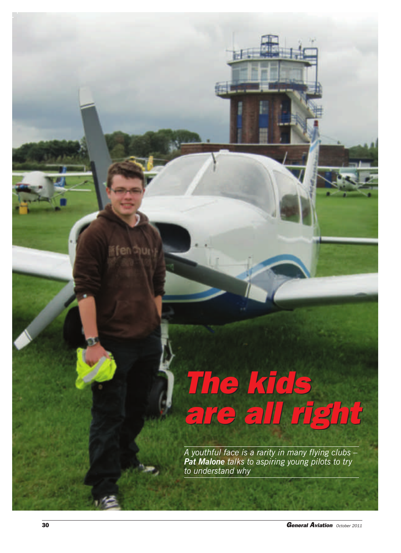## *The kids are all right The kids are all right*

*A youthful face is a rarity in many flying clubs – Pat Malone talks to aspiring young pilots to try to understand why*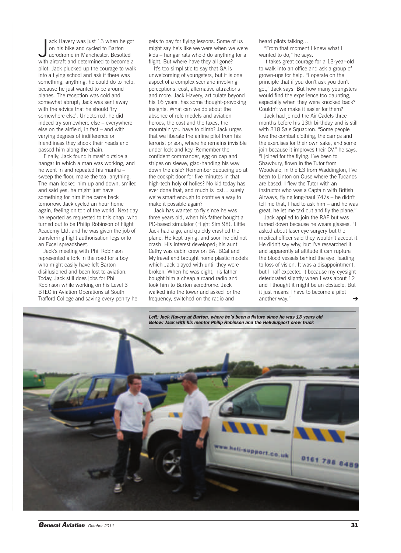ack Havery was just 13 when he got<br>on his bike and cycled to Barton<br>aerodrome in Manchester. Besotted<br>with aircraft and determined to become a ack Havery was just 13 when he got on his bike and cycled to Barton aerodrome in Manchester. Besotted pilot, Jack plucked up the courage to walk into a flying school and ask if there was something, anything, he could do to help, because he just wanted to be around planes. The reception was cold and somewhat abrupt; Jack was sent away with the advice that he should 'try somewhere else'. Undeterred, he did indeed try somewhere else – everywhere else on the airfield, in fact – and with varying degrees of indifference or friendliness they shook their heads and passed him along the chain.

Finally, Jack found himself outside a hangar in which a man was working, and he went in and repeated his mantra – sweep the floor, make the tea, anything. The man looked him up and down, smiled and said yes, he might just have something for him if he came back tomorrow. Jack cycled an hour home again, feeling on top of the world. Next day he reported as requested to this chap, who turned out to be Philip Robinson of Flight Academy Ltd, and he was given the job of transferring flight authorisation logs onto an Excel spreadsheet.

Jack's meeting with Phil Robinson represented a fork in the road for a boy who might easily have left Barton disillusioned and been lost to aviation. Today, Jack still does jobs for Phil Robinson while working on his Level 3 BTEC in Aviation Operations at South Trafford College and saving every penny he gets to pay for flying lessons. Some of us might say he's like we were when we were kids – hangar rats who'd do anything for a flight. But where have they all gone?

It's too simplistic to say that GA is unwelcoming of youngsters, but it is one aspect of a complex scenario involving perceptions, cost, alternative attractions and more. Jack Havery, articulate beyond his 16 years, has some thought-provoking insights. What can we do about the absence of role models and aviation heroes, the cost and the taxes, the mountain you have to climb? Jack urges that we liberate the airline pilot from his terrorist prison, where he remains invisible under lock and key. Remember the confident commander, egg on cap and stripes on sleeve, glad-handing his way down the aisle? Remember queueing up at the cockpit door for five minutes in that high-tech holy of holies? No kid today has ever done that, and much is lost… surely we're smart enough to contrive a way to make it possible again?

Jack has wanted to fly since he was three years old, when his father bought a PC-based simulator (Flight Sim 98). Little Jack had a go, and quickly crashed the plane. He kept trying, and soon he did not crash. His interest developed; his aunt Cathy was cabin crew on BA, BCal and MyTravel and brought home plastic models which Jack played with until they were broken. When he was eight, his father bought him a cheap airband radio and took him to Barton aerodrome. Jack walked into the tower and asked for the frequency, switched on the radio and

heard pilots talking…

"From that moment I knew what I wanted to do," he says.

It takes great courage for a 13-year-old to walk into an office and ask a group of grown-ups for help. "I operate on the principle that if you don't ask you don't get," Jack says. But how many youngsters would find the experience too daunting, especially when they were knocked back? Couldn't we make it easier for them?

Jack had joined the Air Cadets three months before his 13th birthday and is still with 318 Sale Squadron. "Some people love the combat clothing, the camps and the exercises for their own sake, and some join because it improves their CV," he says. "I joined for the flying. I've been to Shawbury, flown in the Tutor from Woodvale, in the E3 from Waddington, I've been to Linton on Ouse where the Tucanos are based. I flew the Tutor with an instructor who was a Captain with British Airways, flying long-haul 747s – he didn't tell me that, I had to ask him – and he was great, he let me taxi out and fly the plane."

Jack applied to join the RAF but was turned down because he wears glasses. "I asked about laser eye surgery but the medical officer said they wouldn't accept it. He didn't say why, but I've researched it and apparently at altitude it can rupture the blood vessels behind the eye, leading to loss of vision. It was a disappointment, but I half expected it because my eyesight deteriorated slightly when I was about 12 and I thought it might be an obstacle. But it just means I have to become a pilot another way." ➔

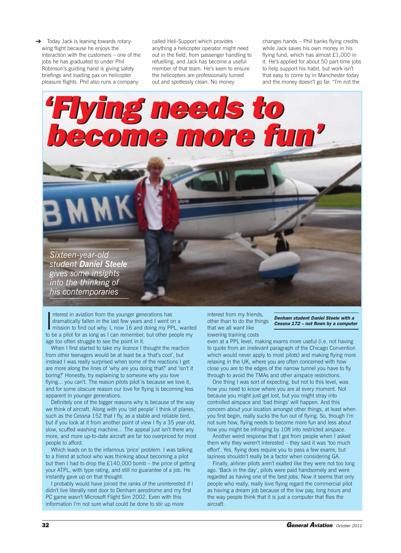→ Today Jack is leaning towards rotarywing flight because he enjoys the interaction with the customers – one of the jobs he has graduated to under Phil Robinson's guiding hand is giving safety briefings and loading pax on helicopter pleasure flights. Phil also runs a company

called Heli-Support which provides anything a helicopter operator might need out in the field, from passenger handling to refuelling, and Jack has become a useful member of that team. He's keen to ensure the helicopters are professionally turned out and spotlessly clean. No money

changes hands – Phil banks flying credits while Jack saves his own money in his flying fund, which has almost £1,000 in it. He's applied for about 50 part-time jobs to help support his habit, but work isn't that easy to come by in Manchester today and the money doesn't go far. "I'm not the

## *'Flying needs to become more fun' 'Flying needs to become more fun'*

*Sixteen-year-old student Daniel Steele gives some insights into the thinking of his contemporaries*

Interest in aviation from the younger generations has<br>dramatically fallen in the last few years and I went on a<br>mission to find out why. I, now 16 and doing my PPL, wante<br>to be a pilot for as long as I can remember, but ot nterest in aviation from the younger generations has dramatically fallen in the last few years and I went on a mission to find out why. I, now 16 and doing my PPL, wanted age too often struggle to see the point in it.

When I first started to take my licence I thought the reaction from other teenagers would be at least be a 'that's cool', but instead I was really surprised when some of the reactions I get are more along the lines of 'why are you doing that?' and 'isn't it boring?' Honestly, try explaining to someone why you love flying... you can't. The reason pilots pilot is because we love it, and for some obscure reason our love for flying is becoming less apparent in younger generations.

Definitely one of the bigger reasons why is because of the way we think of aircraft. Along with you 'old people' I think of planes, such as the Cessna 152 that I fly, as a stable and reliable bird, but if you look at it from another point of view I fly a 35 year-old, slow, scuffed washing machine... The appeal just isn't there any more, and more up-to-date aircraft are far too overpriced for most people to afford.

Which leads on to the infamous 'price' problem. I was talking to a friend at school who was thinking about becoming a pilot but then I had to drop the  $£140,000$  bomb – the price of getting your ATPL, with type rating, and still no guarantee of a job. He instantly gave up on that thought.

I probably would have joined the ranks of the uninterested if I didn't live literally next door to Denham aerodrome and my first PC game wasn't Microsoft Flight Sim 2002. Even with this information I'm not sure what could be done to stir up more

interest from my friends, other than to do the things that we all want like lowering training costs

*Denham student Daniel Steele with a Cessna 172 – not flown by a computer*

even at a PPL level, making exams more useful (i.e. not having to quote from an irrelevant paragraph of the Chicago Convention which would never apply to most pilots) and making flying more relaxing in the UK, where you are often concerned with how close you are to the edges of the narrow tunnel you have to fly through to avoid the TMAs and other airspace restrictions.

One thing I was sort of expecting, but not to this level, was how you need to know where you are at every moment. Not because you might just get lost, but you might stray into controlled airspace and 'bad things' will happen. And this concern about your location amongst other things, at least when you first begin, really sucks the fun out of flying. So, though I'm not sure how, flying needs to become more fun and less about how you might be infringing by 10ft into restricted airspace.

Another weird response that I got from people when I asked them why they weren't interested – they said it was 'too much effort'. Yes, flying does require you to pass a few exams, but laziness shouldn't really be a factor when considering GA.

Finally, airliner pilots aren't exalted like they were not too long ago. 'Back in the day', pilots were paid handsomely and were regarded as having one of the best jobs. Now it seems that only people who really, really love flying regard the commercial pilot as having a dream job because of the low pay, long hours and the way people think that it is just a computer that flies the aircraft.